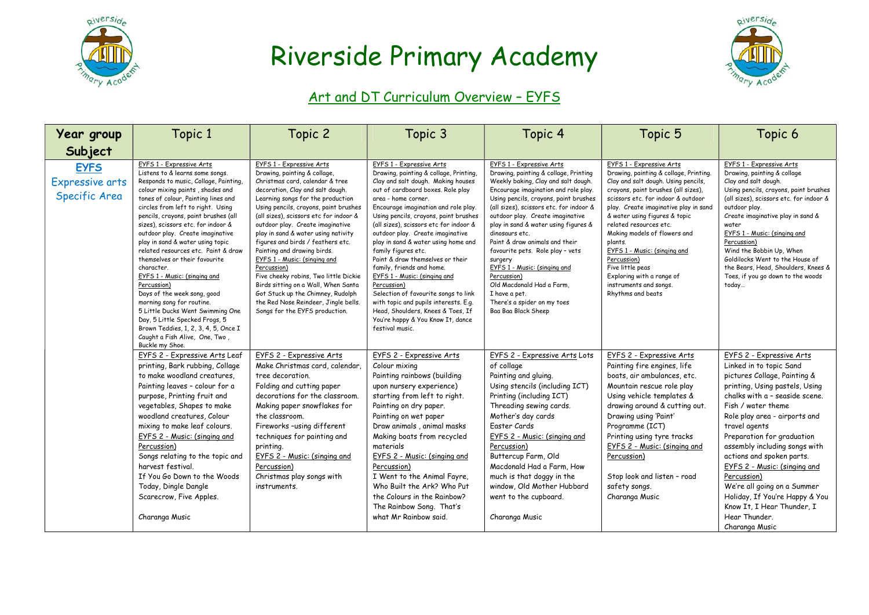



#### Art and DT Curriculum Overview - EYFS

| Year group                                      | Topic 1                                                                                                                                                                                                                                                                                                                                                                                                                                                                                                                                                                                                                                                                                                                                        | Topic 2                                                                                                                                                                                                                                                                                                                                                                                                                                                                                                                                                                                                                                              | Topic 3                                                                                                                                                                                                                                                                                                                                                                                                                                                                                                                                                                                                                                                                                         | Topic 4                                                                                                                                                                                                                                                                                                                                                                                                                                                                                                                                                                | Topic 5                                                                                                                                                                                                                                                                                                                                                                                                                                                                              | Topic 6                                                                                                                                                                                                                                                                                                                                                                                                                                                                                                      |
|-------------------------------------------------|------------------------------------------------------------------------------------------------------------------------------------------------------------------------------------------------------------------------------------------------------------------------------------------------------------------------------------------------------------------------------------------------------------------------------------------------------------------------------------------------------------------------------------------------------------------------------------------------------------------------------------------------------------------------------------------------------------------------------------------------|------------------------------------------------------------------------------------------------------------------------------------------------------------------------------------------------------------------------------------------------------------------------------------------------------------------------------------------------------------------------------------------------------------------------------------------------------------------------------------------------------------------------------------------------------------------------------------------------------------------------------------------------------|-------------------------------------------------------------------------------------------------------------------------------------------------------------------------------------------------------------------------------------------------------------------------------------------------------------------------------------------------------------------------------------------------------------------------------------------------------------------------------------------------------------------------------------------------------------------------------------------------------------------------------------------------------------------------------------------------|------------------------------------------------------------------------------------------------------------------------------------------------------------------------------------------------------------------------------------------------------------------------------------------------------------------------------------------------------------------------------------------------------------------------------------------------------------------------------------------------------------------------------------------------------------------------|--------------------------------------------------------------------------------------------------------------------------------------------------------------------------------------------------------------------------------------------------------------------------------------------------------------------------------------------------------------------------------------------------------------------------------------------------------------------------------------|--------------------------------------------------------------------------------------------------------------------------------------------------------------------------------------------------------------------------------------------------------------------------------------------------------------------------------------------------------------------------------------------------------------------------------------------------------------------------------------------------------------|
| Subject                                         |                                                                                                                                                                                                                                                                                                                                                                                                                                                                                                                                                                                                                                                                                                                                                |                                                                                                                                                                                                                                                                                                                                                                                                                                                                                                                                                                                                                                                      |                                                                                                                                                                                                                                                                                                                                                                                                                                                                                                                                                                                                                                                                                                 |                                                                                                                                                                                                                                                                                                                                                                                                                                                                                                                                                                        |                                                                                                                                                                                                                                                                                                                                                                                                                                                                                      |                                                                                                                                                                                                                                                                                                                                                                                                                                                                                                              |
| <b>EYFS</b><br>Expressive arts<br>Specific Area | EYFS 1 - Expressive Arts<br>Listens to & learns some songs.<br>Responds to music, Collage, Painting,<br>colour mixing paints, shades and<br>tones of colour, Painting lines and<br>circles from left to right. Using<br>pencils, crayons, paint brushes (all<br>sizes), scissors etc. for indoor &<br>outdoor play. Create imaginative<br>play in sand & water using topic<br>related resources etc. Paint & draw<br>themselves or their favourite<br>character.<br>EYFS 1 - Music: (singing and<br>Percussion)<br>Days of the week song, good<br>morning song for routine.<br>5 Little Ducks Went Swimming One<br>Day, 5 Little Specked Frogs, 5<br>Brown Teddies, 1, 2, 3, 4, 5, Once I<br>Caught a Fish Alive, One, Two,<br>Buckle my Shoe. | EYFS 1 - Expressive Arts<br>Drawing, painting & collage,<br>Christmas card, calendar & tree<br>decoration, Clay and salt dough.<br>Learning songs for the production<br>Using pencils, crayons, paint brushes<br>(all sizes), scissors etc for indoor &<br>outdoor play. Create imaginative<br>play in sand & water using nativity<br>figures and birds / feathers etc.<br>Painting and drawing birds.<br>EYFS 1 - Music: (singing and<br>Percussion)<br>Five cheeky robins, Two little Dickie<br>Birds sitting on a Wall, When Santa<br>Got Stuck up the Chimney, Rudolph<br>the Red Nose Reindeer, Jingle bells.<br>Songs for the EYFS production. | EYFS 1 - Expressive Arts<br>Drawing, painting & collage, Printing,<br>Clay and salt dough. Making houses<br>out of cardboard boxes. Role play<br>area - home corner.<br>Encourage imagination and role play.<br>Using pencils, crayons, paint brushes<br>(all sizes), scissors etc for indoor &<br>outdoor play. Create imaginative<br>play in sand & water using home and<br>family figures etc.<br>Paint & draw themselves or their<br>family, friends and home.<br>EYFS 1 - Music: (singing and<br>Percussion)<br>Selection of favourite songs to link<br>with topic and pupils interests. E.g.<br>Head, Shoulders, Knees & Toes, If<br>You're happy & You Know It, dance<br>festival music. | EYFS 1 - Expressive Arts<br>Drawing, painting & collage, Printing<br>Weekly baking, Clay and salt dough.<br>Encourage imagination and role play.<br>Using pencils, crayons, paint brushes<br>(all sizes), scissors etc. for indoor &<br>outdoor play. Create imaginative<br>play in sand & water using figures &<br>dinosaurs etc.<br>Paint & draw animals and their<br>favourite pets. Role play - vets<br>surgery<br>EYFS 1 - Music: (singing and<br>Percussion)<br>Old Macdonald Had a Farm.<br>I have a pet.<br>There's a spider on my toes<br>Baa Baa Black Sheep | EYFS 1 - Expressive Arts<br>Drawing, painting & collage, Printing.<br>Clay and salt dough. Using pencils,<br>crayons, paint brushes (all sizes),<br>scissors etc. for indoor & outdoor<br>play. Create imaginative play in sand<br>& water using figures & topic<br>related resources etc.<br>Making models of flowers and<br>plants.<br>EYFS 1 - Music: (singing and<br>Percussion)<br>Five little peas<br>Exploring with a range of<br>instruments and songs.<br>Rhythms and beats | EYFS 1 - Expressive Arts<br>Drawing, painting & collage<br>Clay and salt dough.<br>Using pencils, crayons, paint brushes<br>(all sizes), scissors etc. for indoor &<br>outdoor play.<br>Create imaginative play in sand &<br>water<br>EYFS 1 - Music: (singing and<br>Percussion)<br>Wind the Bobbin Up, When<br>Goldilocks Went to the House of<br>the Bears, Head, Shoulders, Knees &<br>Toes, if you go down to the woods<br>today                                                                        |
|                                                 | EYFS 2 - Expressive Arts Leaf<br>printing, Bark rubbing, Collage<br>to make woodland creatures.<br>Painting leaves - colour for a<br>purpose, Printing fruit and<br>vegetables, Shapes to make<br>woodland creatures, Colour<br>mixing to make leaf colours.<br>EYFS 2 - Music: (singing and<br>Percussion)<br>Songs relating to the topic and<br>harvest festival.<br>If You Go Down to the Woods<br>Today, Dingle Dangle<br>Scarecrow, Five Apples.<br>Charanga Music                                                                                                                                                                                                                                                                        | EYFS 2 - Expressive Arts<br>Make Christmas card, calendar,<br>tree decoration.<br>Folding and cutting paper<br>decorations for the classroom.<br>Making paper snowflakes for<br>the classroom.<br>Fireworks -using different<br>techniques for painting and<br>printing.<br>EYFS 2 - Music: (singing and<br>Percussion)<br>Christmas play songs with<br>instruments.                                                                                                                                                                                                                                                                                 | EYFS 2 - Expressive Arts<br>Colour mixing<br>Painting rainbows (building<br>upon nursery experience)<br>starting from left to right.<br>Painting on dry paper.<br>Painting on wet paper<br>Draw animals, animal masks<br>Making boats from recycled<br>materials<br>EYFS 2 - Music: (singing and<br>Percussion)<br>I Went to the Animal Fayre,<br>Who Built the Ark? Who Put<br>the Colours in the Rainbow?<br>The Rainbow Song. That's<br>what Mr Rainbow said.                                                                                                                                                                                                                                | EYFS 2 - Expressive Arts Lots<br>of collage<br>Painting and gluing.<br>Using stencils (including ICT)<br>Printing (including ICT)<br>Threading sewing cards.<br>Mother's day cards<br>Easter Cards<br>EYFS 2 - Music: (singing and<br>Percussion)<br>Buttercup Farm, Old<br>Macdonald Had a Farm, How<br>much is that doggy in the<br>window, Old Mother Hubbard<br>went to the cupboard.<br>Charanga Music                                                                                                                                                            | EYFS 2 - Expressive Arts<br>Painting fire engines, life<br>boats, air ambulances, etc.<br>Mountain rescue role play<br>Using vehicle templates &<br>drawing around & cutting out.<br>Drawing using 'Paint'<br>Programme (ICT)<br>Printing using tyre tracks<br>EYFS 2 - Music: (singing and<br>Percussion)<br>Stop look and listen - road<br>safety songs.<br>Charanga Music                                                                                                         | EYFS 2 - Expressive Arts<br>Linked in to topic Sand<br>pictures Collage, Painting &<br>printing, Using pastels, Using<br>chalks with a - seaside scene.<br>Fish / water theme<br>Role play area - airports and<br>travel agents<br>Preparation for graduation<br>assembly including songs with<br>actions and spoken parts.<br>EYFS 2 - Music: (singing and<br>Percussion)<br>We're all going on a Summer<br>Holiday, If You're Happy & You<br>Know It, I Hear Thunder, I<br>Hear Thunder.<br>Charanga Music |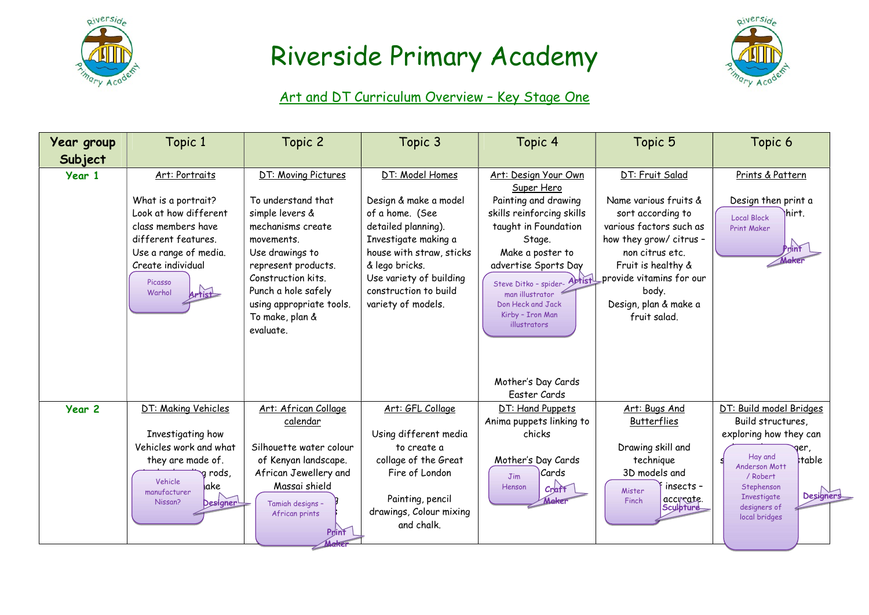



### Art and DT Curriculum Overview – Key Stage One

| <b>Year group</b> | Topic 1                                                                                                                                                              | Topic 2                                                                                                                                                                                                                     | Topic 3                                                                                                                                                                                                         | Topic 4                                                                                                                                                                                                                              | Topic 5                                                                                                                                                                                                                 | Topic 6                                                                                                                                                                                                          |
|-------------------|----------------------------------------------------------------------------------------------------------------------------------------------------------------------|-----------------------------------------------------------------------------------------------------------------------------------------------------------------------------------------------------------------------------|-----------------------------------------------------------------------------------------------------------------------------------------------------------------------------------------------------------------|--------------------------------------------------------------------------------------------------------------------------------------------------------------------------------------------------------------------------------------|-------------------------------------------------------------------------------------------------------------------------------------------------------------------------------------------------------------------------|------------------------------------------------------------------------------------------------------------------------------------------------------------------------------------------------------------------|
| Subject           |                                                                                                                                                                      |                                                                                                                                                                                                                             |                                                                                                                                                                                                                 |                                                                                                                                                                                                                                      |                                                                                                                                                                                                                         |                                                                                                                                                                                                                  |
| Year 1            | Art: Portraits                                                                                                                                                       | DT: Moving Pictures                                                                                                                                                                                                         | DT: Model Homes                                                                                                                                                                                                 | Art: Design Your Own<br>Super Hero                                                                                                                                                                                                   | DT: Fruit Salad                                                                                                                                                                                                         | Prints & Pattern                                                                                                                                                                                                 |
|                   | What is a portrait?<br>Look at how different<br>class members have<br>different features.<br>Use a range of media.<br>Create individual<br>Picasso<br>Warhol         | To understand that<br>simple levers &<br>mechanisms create<br>movements.<br>Use drawings to<br>represent products.<br>Construction kits.<br>Punch a hole safely<br>using appropriate tools.<br>To make, plan &<br>evaluate. | Design & make a model<br>of a home. (See<br>detailed planning).<br>Investigate making a<br>house with straw, sticks<br>& lego bricks.<br>Use variety of building<br>construction to build<br>variety of models. | Painting and drawing<br>skills reinforcing skills<br>taught in Foundation<br>Stage.<br>Make a poster to<br>advertise Sports Day<br>Steve Ditko - spider-<br>man illustrator<br>Don Heck and Jack<br>Kirby - Iron Man<br>illustrators | Name various fruits &<br>sort according to<br>various factors such as<br>how they grow/ citrus -<br>non citrus etc.<br>Fruit is healthy &<br>provide vitamins for our<br>body.<br>Design, plan & make a<br>fruit salad. | Design then print a<br>Ihirt.<br><b>Local Block</b><br><b>Print Maker</b><br>Print<br>Make                                                                                                                       |
|                   |                                                                                                                                                                      |                                                                                                                                                                                                                             |                                                                                                                                                                                                                 | Mother's Day Cards<br>Easter Cards                                                                                                                                                                                                   |                                                                                                                                                                                                                         |                                                                                                                                                                                                                  |
| Year <sub>2</sub> | DT: Making Vehicles<br>Investigating how<br>Vehicles work and what<br>they are made of.<br>a rods,<br>Vehicle<br><b>l</b> ake<br>manufacturer<br>Designer<br>Nissan? | Art: African Collage<br>calendar<br>Silhouette water colour<br>of Kenyan landscape.<br>African Jewellery and<br>Massai shield<br>Tamiah designs -<br>African prints<br>Print                                                | Art: GFL Collage<br>Using different media<br>to create a<br>collage of the Great<br>Fire of London<br>Painting, pencil<br>drawings, Colour mixing<br>and chalk.                                                 | DT: Hand Puppets<br>Anima puppets linking to<br>chicks<br>Mother's Day Cards<br> Cards<br>Jim<br>Henson<br>Craft<br>Make                                                                                                             | Art: Bugs And<br><b>Butterflies</b><br>Drawing skill and<br>technique<br>3D models and<br>insects -<br>Mister<br>accivate.<br>Sculpture<br>Finch                                                                        | DT: Build model Bridges<br>Build structures,<br>exploring how they can<br>Hay and<br>table<br>Anderson Mott<br>/ Robert<br>Stephenson<br><b>Designers</b><br><b>Investigate</b><br>designers of<br>local bridges |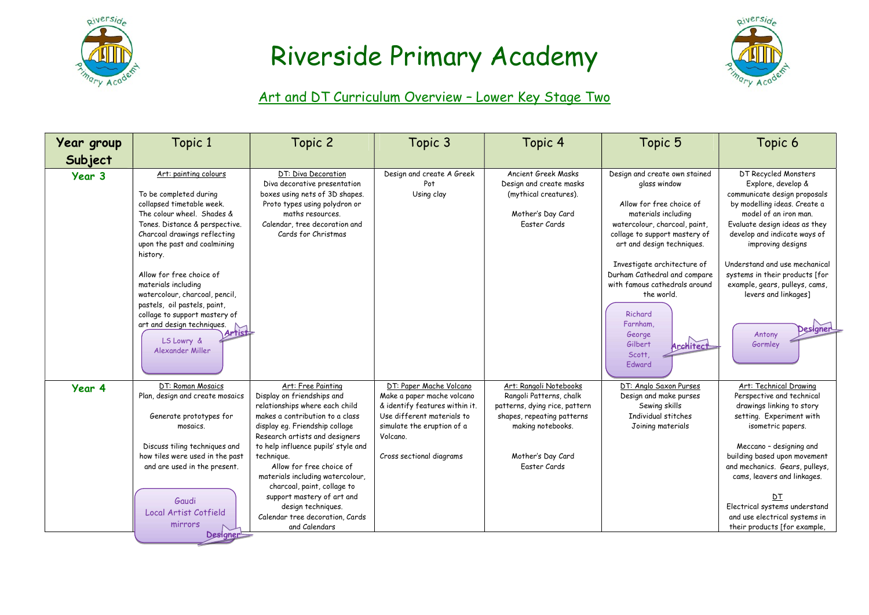



### Art and DT Curriculum Overview – Lower Key Stage Two

| Year group | Topic 1                                                                                                                                                                                                                                                                                                                                                                                                                                                  | Topic 2                                                                                                                                                                                                                                                                                                                                                                                                                                               | Topic 3                                                                                                                                                                                     | Topic 4                                                                                                                                                                    | Topic 5                                                                                                                                                                                                                                                                                                                                                                                     | Topic 6                                                                                                                                                                                                                                                                                                                                                                                 |
|------------|----------------------------------------------------------------------------------------------------------------------------------------------------------------------------------------------------------------------------------------------------------------------------------------------------------------------------------------------------------------------------------------------------------------------------------------------------------|-------------------------------------------------------------------------------------------------------------------------------------------------------------------------------------------------------------------------------------------------------------------------------------------------------------------------------------------------------------------------------------------------------------------------------------------------------|---------------------------------------------------------------------------------------------------------------------------------------------------------------------------------------------|----------------------------------------------------------------------------------------------------------------------------------------------------------------------------|---------------------------------------------------------------------------------------------------------------------------------------------------------------------------------------------------------------------------------------------------------------------------------------------------------------------------------------------------------------------------------------------|-----------------------------------------------------------------------------------------------------------------------------------------------------------------------------------------------------------------------------------------------------------------------------------------------------------------------------------------------------------------------------------------|
| Subject    |                                                                                                                                                                                                                                                                                                                                                                                                                                                          |                                                                                                                                                                                                                                                                                                                                                                                                                                                       |                                                                                                                                                                                             |                                                                                                                                                                            |                                                                                                                                                                                                                                                                                                                                                                                             |                                                                                                                                                                                                                                                                                                                                                                                         |
| Year 3     | Art: painting colours<br>To be completed during<br>collapsed timetable week.<br>The colour wheel. Shades &<br>Tones, Distance & perspective.<br>Charcoal drawings reflecting<br>upon the past and coalmining<br>history.<br>Allow for free choice of<br>materials including<br>watercolour, charcoal, pencil,<br>pastels, oil pastels, paint,<br>collage to support mastery of<br>art and design techniques.<br>Artist<br>LS Lowry &<br>Alexander Miller | DT: Diva Decoration<br>Diva decorative presentation<br>boxes using nets of 3D shapes.<br>Proto types using polydron or<br>maths resources.<br>Calendar, tree decoration and<br>Cards for Christmas                                                                                                                                                                                                                                                    | Design and create A Greek<br>Pot<br>Using clay                                                                                                                                              | <b>Ancient Greek Masks</b><br>Design and create masks<br>(mythical creatures).<br>Mother's Day Card<br>Easter Cards                                                        | Design and create own stained<br>glass window<br>Allow for free choice of<br>materials including<br>watercolour, charcoal, paint,<br>collage to support mastery of<br>art and design techniques.<br>Investigate architecture of<br>Durham Cathedral and compare<br>with famous cathedrals around<br>the world.<br>Richard<br>Farnham.<br>George<br>Gilbert<br>Architect<br>Scott,<br>Edward | DT Recycled Monsters<br>Explore, develop &<br>communicate design proposals<br>by modelling ideas. Create a<br>model of an iron man.<br>Evaluate design ideas as they<br>develop and indicate ways of<br>improving designs<br>Understand and use mechanical<br>systems in their products [for<br>example, gears, pulleys, cams,<br>levers and linkages]<br>Designer<br>Antony<br>Gormley |
| Year 4     | DT: Roman Mosaics<br>Plan, design and create mosaics<br>Generate prototypes for<br>mosaics.<br>Discuss tiling techniques and<br>how tiles were used in the past<br>and are used in the present.<br>Gaudi<br>Local Artist Cotfield<br>mirrors<br>Designer                                                                                                                                                                                                 | Art: Free Painting<br>Display on friendships and<br>relationships where each child<br>makes a contribution to a class<br>display eg. Friendship collage<br>Research artists and designers<br>to help influence pupils' style and<br>technique.<br>Allow for free choice of<br>materials including watercolour,<br>charcoal, paint, collage to<br>support mastery of art and<br>design techniques.<br>Calendar tree decoration, Cards<br>and Calendars | DT: Paper Mache Volcano<br>Make a paper mache volcano<br>& identify features within it.<br>Use different materials to<br>simulate the eruption of a<br>Volcano.<br>Cross sectional diagrams | Art: Rangoli Notebooks<br>Rangoli Patterns, chalk<br>patterns, dying rice, pattern<br>shapes, repeating patterns<br>making notebooks.<br>Mother's Day Card<br>Easter Cards | DT: Anglo Saxon Purses<br>Design and make purses<br>Sewing skills<br>Individual stitches<br>Joining materials                                                                                                                                                                                                                                                                               | Art: Technical Drawing<br>Perspective and technical<br>drawings linking to story<br>setting. Experiment with<br>isometric papers.<br>Meccano - designing and<br>building based upon movement<br>and mechanics. Gears, pulleys,<br>cams, leavers and linkages.<br>ŊΤ<br>Electrical systems understand<br>and use electrical systems in<br>their products [for example,                   |